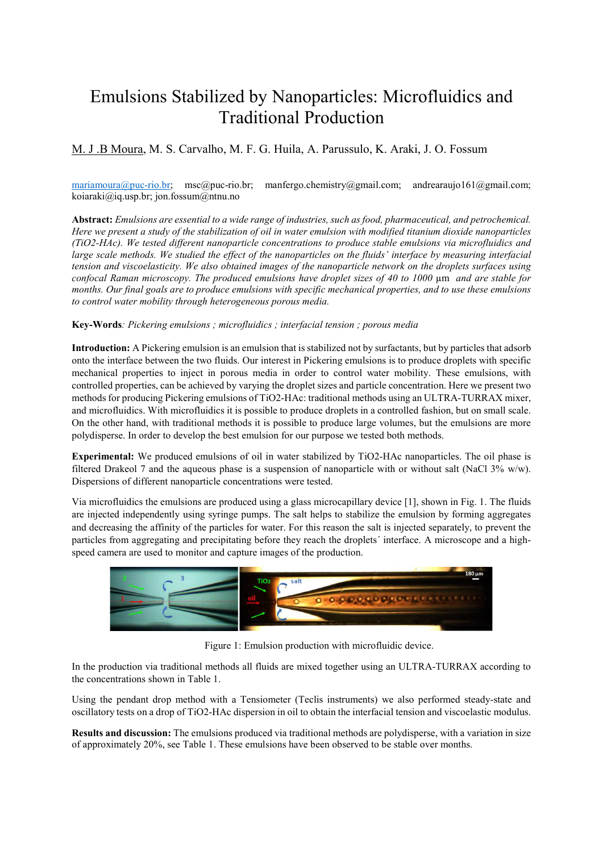## Emulsions Stabilized by Nanoparticles: Microfluidics and Traditional Production

## M. J .B Moura, M. S. Carvalho, M. F. G. Huila, A. Parussulo, K. Araki, J. O. Fossum

mariamoura@puc-rio.br; msc@puc-rio.br; manfergo.chemistry@gmail.com; andrearaujo161@gmail.com; koiaraki@iq.usp.br; jon.fossum@ntnu.no

Abstract: Emulsions are essential to a wide range of industries, such as food, pharmaceutical, and petrochemical. Here we present a study of the stabilization of oil in water emulsion with modified titanium dioxide nanoparticles (TiO2-HAc). We tested different nanoparticle concentrations to produce stable emulsions via microfluidics and large scale methods. We studied the effect of the nanoparticles on the fluids' interface by measuring interfacial tension and viscoelasticity. We also obtained images of the nanoparticle network on the droplets surfaces using confocal Raman microscopy. The produced emulsions have droplet sizes of 40 to 1000 µm and are stable for months. Our final goals are to produce emulsions with specific mechanical properties, and to use these emulsions to control water mobility through heterogeneous porous media.

## Key-Words: Pickering emulsions ; microfluidics ; interfacial tension ; porous media

Introduction: A Pickering emulsion is an emulsion that is stabilized not by surfactants, but by particles that adsorb onto the interface between the two fluids. Our interest in Pickering emulsions is to produce droplets with specific mechanical properties to inject in porous media in order to control water mobility. These emulsions, with controlled properties, can be achieved by varying the droplet sizes and particle concentration. Here we present two methods for producing Pickering emulsions of TiO2-HAc: traditional methods using an ULTRA-TURRAX mixer, and microfluidics. With microfluidics it is possible to produce droplets in a controlled fashion, but on small scale. On the other hand, with traditional methods it is possible to produce large volumes, but the emulsions are more polydisperse. In order to develop the best emulsion for our purpose we tested both methods.

Experimental: We produced emulsions of oil in water stabilized by TiO2-HAc nanoparticles. The oil phase is filtered Drakeol 7 and the aqueous phase is a suspension of nanoparticle with or without salt (NaCl 3% w/w). Dispersions of different nanoparticle concentrations were tested.

Via microfluidics the emulsions are produced using a glass microcapillary device [1], shown in Fig. 1. The fluids are injected independently using syringe pumps. The salt helps to stabilize the emulsion by forming aggregates and decreasing the affinity of the particles for water. For this reason the salt is injected separately, to prevent the particles from aggregating and precipitating before they reach the droplets´ interface. A microscope and a highspeed camera are used to monitor and capture images of the production.



Figure 1: Emulsion production with microfluidic device.

In the production via traditional methods all fluids are mixed together using an ULTRA-TURRAX according to the concentrations shown in Table 1.

Using the pendant drop method with a Tensiometer (Teclis instruments) we also performed steady-state and oscillatory tests on a drop of TiO2-HAc dispersion in oil to obtain the interfacial tension and viscoelastic modulus.

Results and discussion: The emulsions produced via traditional methods are polydisperse, with a variation in size of approximately 20%, see Table 1. These emulsions have been observed to be stable over months.